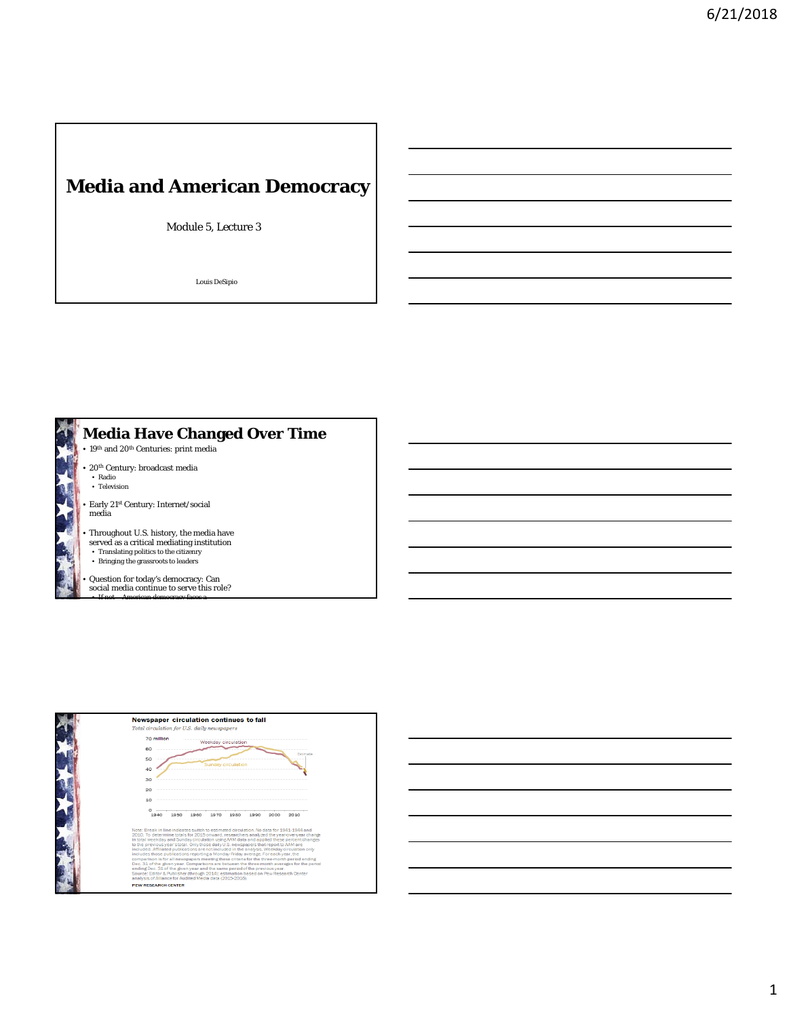## **Media and American Democracy**

Module 5, Lecture 3

Louis DeSipio





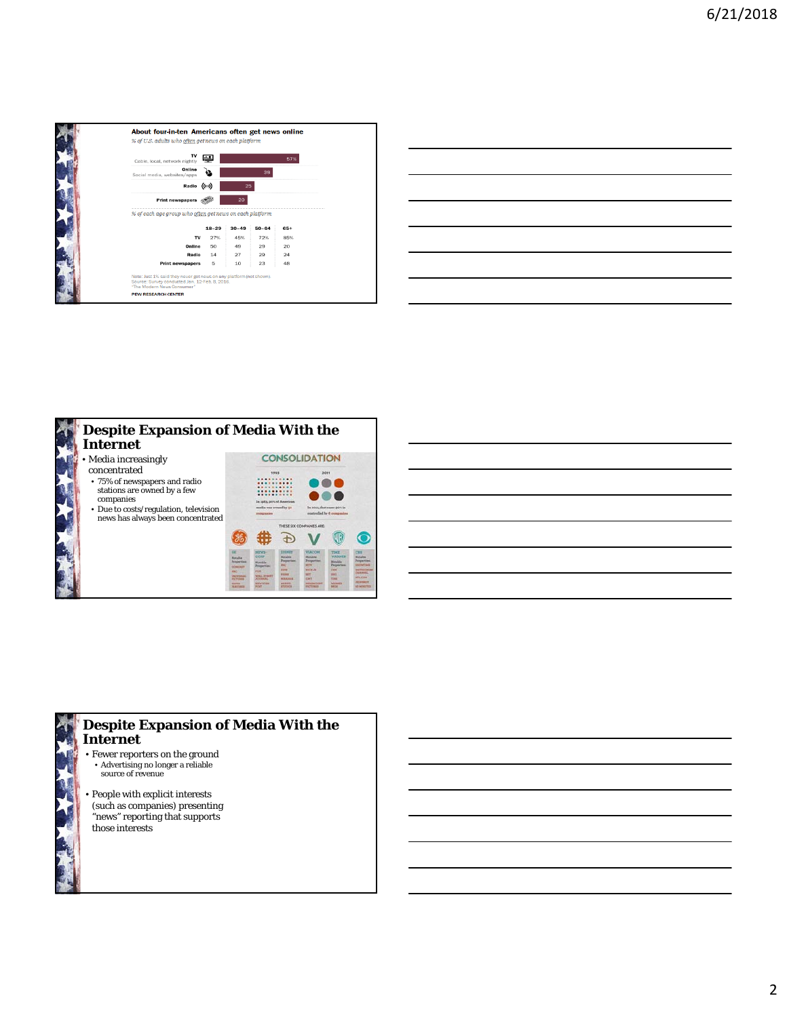

| <u> 1989 - Johann Harry Harry Harry Harry Harry Harry Harry Harry Harry Harry Harry Harry Harry Harry Harry Harry Harry Harry Harry Harry Harry Harry Harry Harry Harry Harry Harry Harry Harry Harry Harry Harry Harry Harry Ha</u> |  | $\overline{\phantom{iiiiiiiiiiiii}}$ |
|--------------------------------------------------------------------------------------------------------------------------------------------------------------------------------------------------------------------------------------|--|--------------------------------------|
|                                                                                                                                                                                                                                      |  |                                      |
|                                                                                                                                                                                                                                      |  | ______                               |
|                                                                                                                                                                                                                                      |  |                                      |
|                                                                                                                                                                                                                                      |  |                                      |
|                                                                                                                                                                                                                                      |  |                                      |
|                                                                                                                                                                                                                                      |  |                                      |
| the control of the control of the control of the control of the control of                                                                                                                                                           |  |                                      |







• People with explicit interests (such as companies) presenting "news" reporting that supports those interests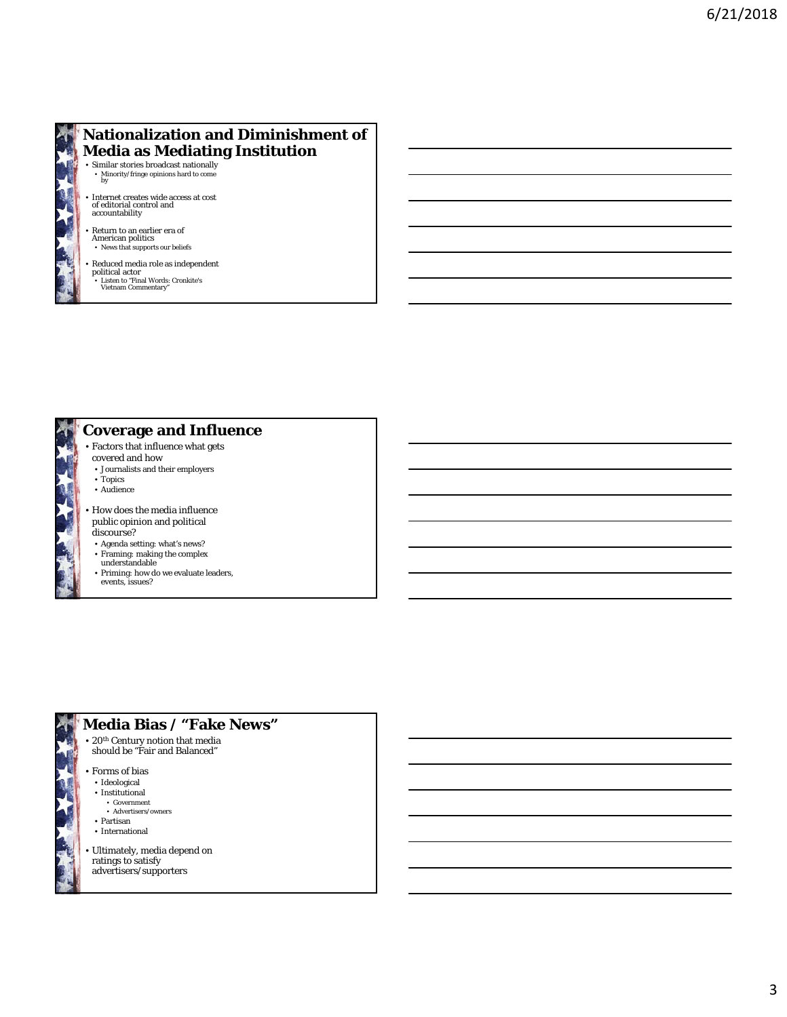

## **Nationalization and Diminishment of Media as Mediating Institution**

• Similar stories broadcast nationally • Minority/fringe opinions hard to come by

• Internet creates wide access at cost of editorial control and accountability

- Return to an earlier era of American politics News that supports our beliefs
- 
- Reduced media role as independent political actor Listen to "Final Words: Cronkite's Vietnam Commentary"
- 



## **Coverage and Influence**

- Factors that influence what gets
- covered and how
- Journalists and their employers
- Topics
- Audience
- How does the media influence public opinion and political discourse?
- Agenda setting: what's news?
- Framing: making the complex understandable
- Priming: how do we evaluate leaders,
- events, issues?



- **Media Bias / "Fake News"**
- $\bullet$  20th Century notion that media should be "Fair and Balanced"
- -
	-
	-
- Ultimately, media depend on ratings to satisfy advertisers/supporters